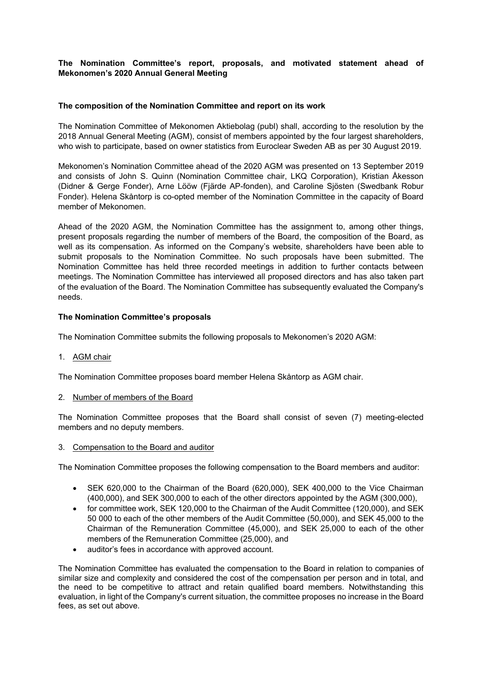# **The Nomination Committee's report, proposals, and motivated statement ahead of Mekonomen's 2020 Annual General Meeting**

### **The composition of the Nomination Committee and report on its work**

The Nomination Committee of Mekonomen Aktiebolag (publ) shall, according to the resolution by the 2018 Annual General Meeting (AGM), consist of members appointed by the four largest shareholders, who wish to participate, based on owner statistics from Euroclear Sweden AB as per 30 August 2019.

Mekonomen's Nomination Committee ahead of the 2020 AGM was presented on 13 September 2019 and consists of John S. Quinn (Nomination Committee chair, LKQ Corporation), Kristian Åkesson (Didner & Gerge Fonder), Arne Lööw (Fjärde AP-fonden), and Caroline Sjösten (Swedbank Robur Fonder). Helena Skåntorp is co-opted member of the Nomination Committee in the capacity of Board member of Mekonomen.

Ahead of the 2020 AGM, the Nomination Committee has the assignment to, among other things, present proposals regarding the number of members of the Board, the composition of the Board, as well as its compensation. As informed on the Company's website, shareholders have been able to submit proposals to the Nomination Committee. No such proposals have been submitted. The Nomination Committee has held three recorded meetings in addition to further contacts between meetings. The Nomination Committee has interviewed all proposed directors and has also taken part of the evaluation of the Board. The Nomination Committee has subsequently evaluated the Company's needs.

#### **The Nomination Committee's proposals**

The Nomination Committee submits the following proposals to Mekonomen's 2020 AGM:

1. AGM chair

The Nomination Committee proposes board member Helena Skåntorp as AGM chair.

#### 2. Number of members of the Board

The Nomination Committee proposes that the Board shall consist of seven (7) meeting-elected members and no deputy members.

3. Compensation to the Board and auditor

The Nomination Committee proposes the following compensation to the Board members and auditor:

- SEK 620,000 to the Chairman of the Board (620,000), SEK 400,000 to the Vice Chairman (400,000), and SEK 300,000 to each of the other directors appointed by the AGM (300,000),
- for committee work, SEK 120,000 to the Chairman of the Audit Committee (120,000), and SEK 50 000 to each of the other members of the Audit Committee (50,000), and SEK 45,000 to the Chairman of the Remuneration Committee (45,000), and SEK 25,000 to each of the other members of the Remuneration Committee (25,000), and
- auditor's fees in accordance with approved account.

The Nomination Committee has evaluated the compensation to the Board in relation to companies of similar size and complexity and considered the cost of the compensation per person and in total, and the need to be competitive to attract and retain qualified board members. Notwithstanding this evaluation, in light of the Company's current situation, the committee proposes no increase in the Board fees, as set out above.